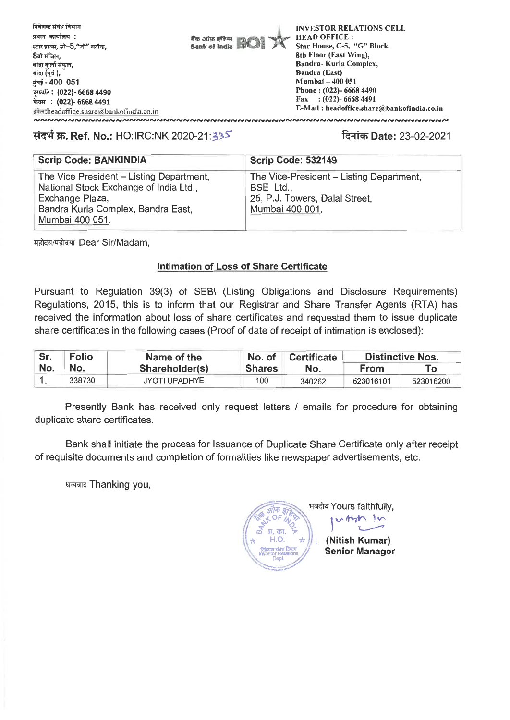

## **TI-0 W. Ref. No.:** HO:IRC:NK:2020-21.

## R-4t- **Date:** 23-02-2021

| <b>Scrip Code: BANKINDIA</b>                              | <b>Scrip Code: 532149</b>                   |
|-----------------------------------------------------------|---------------------------------------------|
| The Vice President – Listing Department,                  | The Vice-President - Listing Department,    |
| National Stock Exchange of India Ltd.,<br>Exchange Plaza, | BSE Ltd.,<br>25, P.J. Towers, Dalal Street, |
| Bandra Kurla Complex, Bandra East,                        | Mumbai 400 001.                             |
| Mumbai 400 051.                                           |                                             |

महोदय/महोदया Dear Sir/Madam,

#### **Intimation of Loss of Share Certificate**

Pursuant to Regulation 39(3) of SEBI (Listing Obligations and Disclosure Requirements) Regulations, 2015, this is to inform that our Registrar and Share Transfer Agents (RTA) has received the information about loss of share certificates and requested them to issue duplicate share certificates in the following cases (Proof of date of receipt of intimation is enclosed):

| Sr. | <b>Folio</b> | Name of the          | No. of        | <b>Certificate</b> | <b>Distinctive Nos.</b> |           |
|-----|--------------|----------------------|---------------|--------------------|-------------------------|-----------|
| No. | No.          | Shareholder(s)       | <b>Shares</b> | No.                | <b>From</b>             | To:       |
|     | 338730       | <b>JYOTI UPADHYE</b> | 100           | 340262             | 523016101               | 523016200 |

Presently Bank has received only request letters / emails for procedure for obtaining duplicate share certificates.

Bank shall initiate the process for Issuance of Duplicate Share Certificate only after receipt of requisite documents and completion of formalities like newspaper advertisements, etc.

धन्यवाद Thanking you,

भवदीय Yours faithfully,  $\frac{1}{\sqrt{2}}$   $\frac{1}{\sqrt{2}}$  **ivides i**  $\Pi$ .  $\overline{CDI}$ . **(Nitish Kumar)** \\... 1r.).4;;Ftlations **Senior Manager**  Dept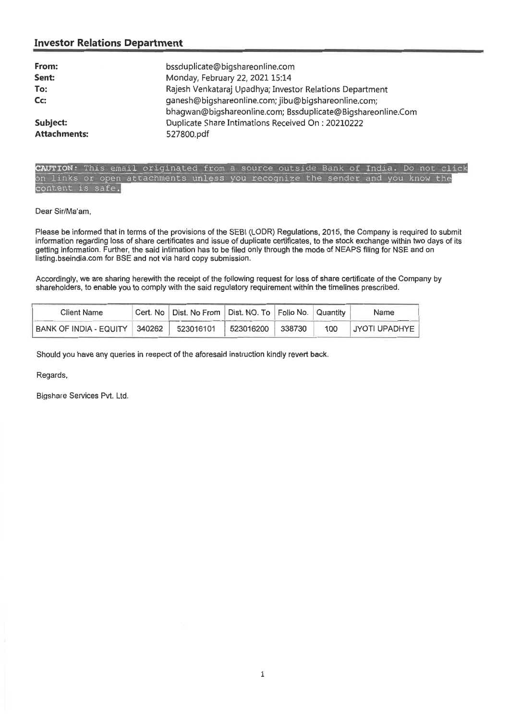# **Investor Relations Department**

| From:<br>Sent:<br>To:<br>Cc:    | bssduplicate@bigshareonline.com<br>Monday, February 22, 2021 15:14<br>Rajesh Venkataraj Upadhya; Investor Relations Department<br>ganesh@bigshareonline.com; jibu@bigshareonline.com;<br>bhagwan@bigshareonline.com; Bssduplicate@Bigshareonline.Com |
|---------------------------------|------------------------------------------------------------------------------------------------------------------------------------------------------------------------------------------------------------------------------------------------------|
| Subject:<br><b>Attachments:</b> | Duplicate Share Intimations Received On: 20210222<br>527800.pdf                                                                                                                                                                                      |
|                                 |                                                                                                                                                                                                                                                      |

**: Th** on links or open attachments unless you recognize the sender and you know the content is safe.

Dear Sir/Ma'am,

Please be informed that in terms of the provisions of the SEBI (LODR) Regulations, 2015, the Company is required to submit information regarding loss of share certificates and issue of duplicate certificates, to the stock exchange within two days of its getting information. Further, the said intimation has to be filed only through the mode of NEAPS filing for NSE and on listing.bseindia.com for BSE and not via hard copy submission.

Accordingly, we are sharing herewith the receipt of the following request for loss of share certificate of the Company by shareholders, to enable you to comply with the said regulatory requirement within the timelines prescribed.

| Client Name                     | Cert. No   Dist. No From   Dist. NO. To   Folio No.   Quantity |            |        |     | Name          |
|---------------------------------|----------------------------------------------------------------|------------|--------|-----|---------------|
| BANK OF INDIA - EQUITY   340262 | 523016101                                                      | 1523016200 | 338730 | 100 | JYOTI UPADHYE |

Should you have any queries in respect of the aforesaid instruction kindly revert back.

Regards,

Bigshare Services Pvt. Ltd.